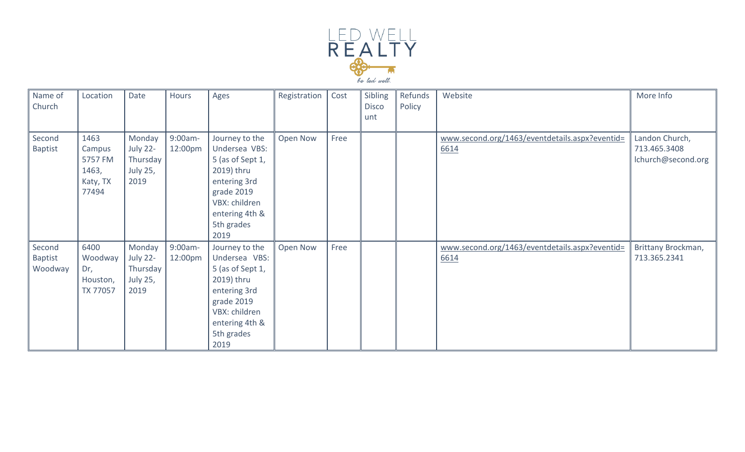

| Name of<br>Church                   | Location                                                | Date                                                             | Hours              | Ages                                                                                                                                                     | Registration | Cost | Sibling<br><b>Disco</b><br>unt | Refunds<br>Policy | Website                                                | More Info                                            |
|-------------------------------------|---------------------------------------------------------|------------------------------------------------------------------|--------------------|----------------------------------------------------------------------------------------------------------------------------------------------------------|--------------|------|--------------------------------|-------------------|--------------------------------------------------------|------------------------------------------------------|
| Second<br>Baptist                   | 1463<br>Campus<br>5757 FM<br>1463,<br>Katy, TX<br>77494 | Monday<br><b>July 22-</b><br>Thursday<br><b>July 25,</b><br>2019 | 9:00am-<br>12:00pm | Journey to the<br>Undersea VBS:<br>5 (as of Sept 1,<br>2019) thru<br>entering 3rd<br>grade 2019<br>VBX: children<br>entering 4th &<br>5th grades<br>2019 | Open Now     | Free |                                |                   | www.second.org/1463/eventdetails.aspx?eventid=<br>6614 | Landon Church,<br>713.465.3408<br>lchurch@second.org |
| Second<br><b>Baptist</b><br>Woodway | 6400<br>Woodway<br>Dr,<br>Houston,<br>TX 77057          | Monday<br><b>July 22-</b><br>Thursday<br>July 25,<br>2019        | 9:00am-<br>12:00pm | Journey to the<br>Undersea VBS:<br>5 (as of Sept 1,<br>2019) thru<br>entering 3rd<br>grade 2019<br>VBX: children<br>entering 4th &<br>5th grades<br>2019 | Open Now     | Free |                                |                   | www.second.org/1463/eventdetails.aspx?eventid=<br>6614 | Brittany Brockman,<br>713.365.2341                   |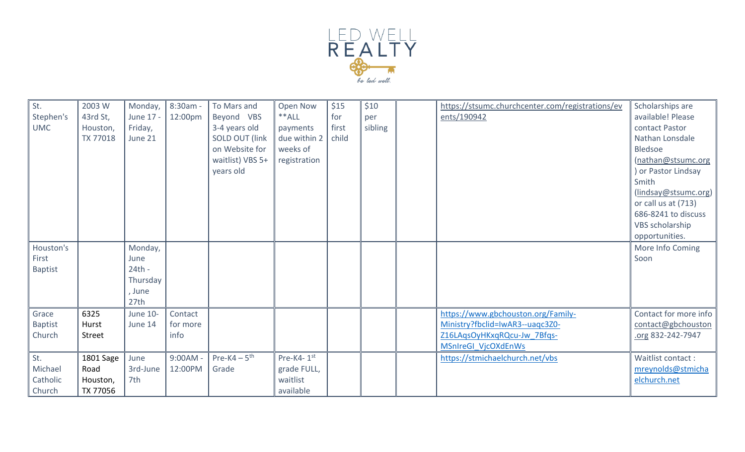

| St.<br>Stephen's<br><b>UMC</b><br>Houston's<br>First<br>Baptist | 2003 W<br>43rd St,<br>Houston,<br>TX 77018 | Monday,<br>June 17 -<br>Friday,<br>June 21<br>Monday,<br>June<br>$24th -$<br>Thursday | 8:30am -<br>12:00pm | To Mars and<br>Beyond VBS<br>3-4 years old<br><b>SOLD OUT (link)</b><br>on Website for<br>waitlist) VBS 5+<br>years old | Open Now<br>$**ALL$<br>payments<br>due within 2<br>weeks of<br>registration | \$15<br>for<br>first<br>child | \$10<br>per<br>sibling | https://stsumc.churchcenter.com/registrations/ev<br>ents/190942 | Scholarships are<br>available! Please<br>contact Pastor<br>Nathan Lonsdale<br>Bledsoe<br>(nathan@stsumc.org<br>) or Pastor Lindsay<br>Smith<br>(lindsay@stsumc.org)<br>or call us at (713)<br>686-8241 to discuss<br>VBS scholarship<br>opportunities.<br>More Info Coming<br>Soon |
|-----------------------------------------------------------------|--------------------------------------------|---------------------------------------------------------------------------------------|---------------------|-------------------------------------------------------------------------------------------------------------------------|-----------------------------------------------------------------------------|-------------------------------|------------------------|-----------------------------------------------------------------|------------------------------------------------------------------------------------------------------------------------------------------------------------------------------------------------------------------------------------------------------------------------------------|
|                                                                 |                                            | , June<br>27th                                                                        |                     |                                                                                                                         |                                                                             |                               |                        |                                                                 |                                                                                                                                                                                                                                                                                    |
| Grace                                                           | 6325                                       | <b>June 10-</b>                                                                       | Contact             |                                                                                                                         |                                                                             |                               |                        | https://www.gbchouston.org/Family-                              | Contact for more info                                                                                                                                                                                                                                                              |
| <b>Baptist</b>                                                  | Hurst                                      | June 14                                                                               | for more            |                                                                                                                         |                                                                             |                               |                        | Ministry?fbclid=IwAR3--uagc3Z0-                                 | contact@gbchouston                                                                                                                                                                                                                                                                 |
| Church                                                          | Street                                     |                                                                                       | info                |                                                                                                                         |                                                                             |                               |                        | Z16LAqsOyHKxqRQcu-Jw 7Bfqs-                                     | org 832-242-7947                                                                                                                                                                                                                                                                   |
|                                                                 |                                            |                                                                                       |                     |                                                                                                                         |                                                                             |                               |                        | MSnIreGI VjcOXdEnWs                                             |                                                                                                                                                                                                                                                                                    |
| St.                                                             | 1801 Sage                                  | June                                                                                  | $9:00AM -$          | Pre-K4 $-5$ <sup>th</sup>                                                                                               | Pre-K4-1st                                                                  |                               |                        | https://stmichaelchurch.net/vbs                                 | Waitlist contact:                                                                                                                                                                                                                                                                  |
| Michael                                                         | Road                                       | 3rd-June                                                                              | 12:00PM             | Grade                                                                                                                   | grade FULL,                                                                 |                               |                        |                                                                 | mreynolds@stmicha                                                                                                                                                                                                                                                                  |
| Catholic                                                        | Houston,                                   | 7th                                                                                   |                     |                                                                                                                         | waitlist                                                                    |                               |                        |                                                                 | elchurch.net                                                                                                                                                                                                                                                                       |
| Church                                                          | TX 77056                                   |                                                                                       |                     |                                                                                                                         | available                                                                   |                               |                        |                                                                 |                                                                                                                                                                                                                                                                                    |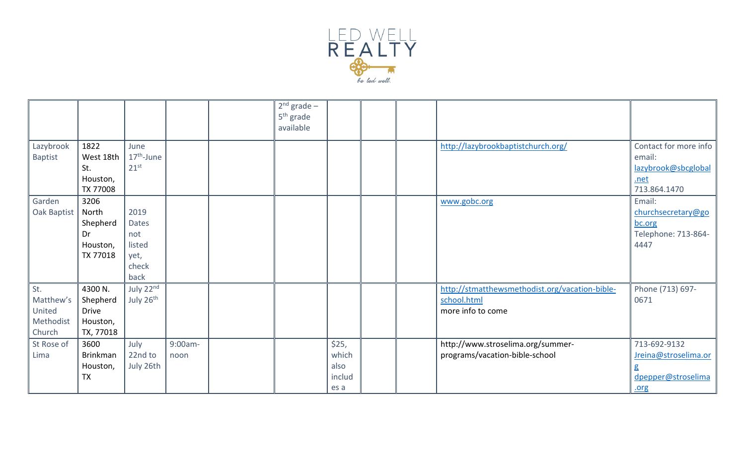

|                                                   |                                                              |                                                         |                 | $2nd$ grade –<br>5 <sup>th</sup> grade<br>available |                                          |  |                                                                                    |                                                                                |
|---------------------------------------------------|--------------------------------------------------------------|---------------------------------------------------------|-----------------|-----------------------------------------------------|------------------------------------------|--|------------------------------------------------------------------------------------|--------------------------------------------------------------------------------|
| Lazybrook<br><b>Baptist</b>                       | 1822<br>West 18th<br>St.<br>Houston,<br>TX 77008             | June<br>$17th$ -June<br>$21^{st}$                       |                 |                                                     |                                          |  | http://lazybrookbaptistchurch.org/                                                 | Contact for more info<br>email:<br>lazybrook@sbcglobal<br>.net<br>713.864.1470 |
| Garden<br>Oak Baptist                             | 3206<br>North<br>Shepherd<br>Dr<br>Houston,<br>TX 77018      | 2019<br>Dates<br>not<br>listed<br>yet,<br>check<br>back |                 |                                                     |                                          |  | www.gobc.org                                                                       | Email:<br>churchsecretary@go<br>bc.org<br>Telephone: 713-864-<br>4447          |
| St.<br>Matthew's<br>United<br>Methodist<br>Church | 4300 N.<br>Shepherd<br><b>Drive</b><br>Houston,<br>TX, 77018 | July 22nd<br>July 26 <sup>th</sup>                      |                 |                                                     |                                          |  | http://stmatthewsmethodist.org/vacation-bible-<br>school.html<br>more info to come | Phone (713) 697-<br>0671                                                       |
| St Rose of<br>Lima                                | 3600<br><b>Brinkman</b><br>Houston,<br><b>TX</b>             | July<br>22nd to<br>July 26th                            | 9:00am-<br>noon |                                                     | \$25,<br>which<br>also<br>includ<br>es a |  | http://www.stroselima.org/summer-<br>programs/vacation-bible-school                | 713-692-9132<br>Jreina@stroselima.or<br>g<br>dpepper@stroselima<br>.org        |